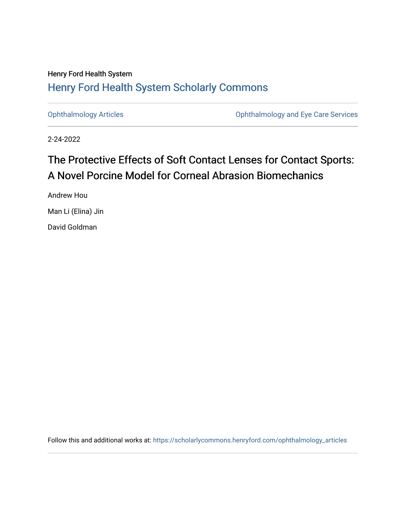### Henry Ford Health System [Henry Ford Health System Scholarly Commons](https://scholarlycommons.henryford.com/)

[Ophthalmology Articles](https://scholarlycommons.henryford.com/ophthalmology_articles) [Ophthalmology and Eye Care Services](https://scholarlycommons.henryford.com/ophthalmology) 

2-24-2022

# The Protective Effects of Soft Contact Lenses for Contact Sports: A Novel Porcine Model for Corneal Abrasion Biomechanics

Andrew Hou Man Li (Elina) Jin

David Goldman

Follow this and additional works at: [https://scholarlycommons.henryford.com/ophthalmology\\_articles](https://scholarlycommons.henryford.com/ophthalmology_articles?utm_source=scholarlycommons.henryford.com%2Fophthalmology_articles%2F72&utm_medium=PDF&utm_campaign=PDFCoverPages)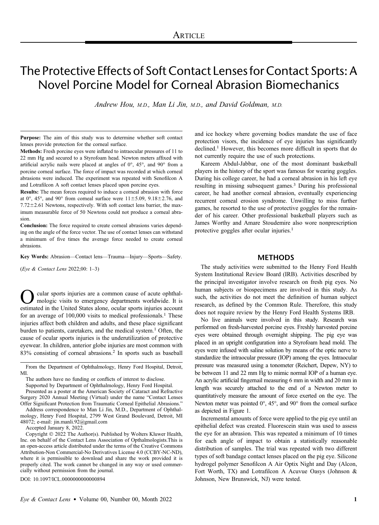## The Protective Effects of Soft Contact Lenses for Contact Sports: A Novel Porcine Model for Corneal Abrasion Biomechanics

Andrew Hou, M.D., Man Li Jin, M.D., and David Goldman, M.D.

Purpose: The aim of this study was to determine whether soft contact lenses provide protection for the corneal surface.

Methods: Fresh porcine eyes were inflated to intraocular pressures of 11 to 22 mm Hg and secured to a Styrofoam head. Newton meters affixed with artificial acrylic nails were placed at angles of 0°, 45°, and 90° from a porcine corneal surface. The force of impact was recorded at which corneal abrasions were induced. The experiment was repeated with Senofilcon A and Lotrafilcon A soft contact lenses placed upon porcine eyes.

Results: The mean forces required to induce a corneal abrasion with force at 0°, 45°, and 90° from corneal surface were  $11\pm5.09$ ,  $9.18\pm2.76$ , and  $7.72 \pm 2.61$  Newtons, respectively. With soft contact lens barrier, the maximum measurable force of 50 Newtons could not produce a corneal abrasion.

Conclusion: The force required to create corneal abrasions varies depending on the angle of the force vector. The use of contact lenses can withstand a minimum of five times the average force needed to create corneal abrasions.

Key Words: Abrasion—Contact lens—Trauma—Injury—Sports—Safety.

(Eye & Contact Lens 2022;00: 1–3)

cular sports injuries are a common cause of acute ophthalmologic visits to emergency departments worldwide. It is estimated in the United States alone, ocular sports injuries account for an average of  $100,000$  visits to medical professionals.<sup>1</sup> These injuries affect both children and adults, and these place significant burden to patients, caretakers, and the medical system.<sup>1</sup> Often, the cause of ocular sports injuries is the underutilization of protective eyewear. In children, anterior globe injuries are most common with 83% consisting of corneal abrasions.<sup>2</sup> In sports such as baseball

From the Department of Ophthalmology, Henry Ford Hospital, Detroit, MI.

Supported by Department of Ophthalmology, Henry Ford Hospital.

Presented as a poster at the American Society of Cataract and Refractive Surgery 2020 Annual Meeting (Virtual) under the name "Contact Lenses Offer Significant Protection from Traumatic Corneal Epithelial Abrasions."

Address correspondence to Man Li Jin, M.D., Department of Ophthalmology, Henry Ford Hospital, 2799 West Grand Boulevard, Detroit, MI 48072; e-mail: [jin.manli.92@gmail.com](mailto:jin.manli.92@gmail.com)

Accepted January 8, 2022.

Copyright © 2022 The Author(s). Published by Wolters Kluwer Health, Inc. on behalf of the Contact Lens Association of Opthalmologists.This is an open-access article distributed under the terms of the [Creative Commons](http://creativecommons.org/licenses/by-nc-nd/4.0/) [Attribution-Non Commercial-No Derivatives License 4.0 \(CCBY-NC-ND\)](http://creativecommons.org/licenses/by-nc-nd/4.0/), where it is permissible to download and share the work provided it is properly cited. The work cannot be changed in any way or used commercially without permission from the journal.

DOI: 10.1097/ICL.0000000000000894

and ice hockey where governing bodies mandate the use of face protection visors, the incidence of eye injuries has significantly declined.<sup>1</sup> However, this becomes more difficult in sports that do not currently require the use of such protections.

Kareem Abdul-Jabbar, one of the most dominant basketball players in the history of the sport was famous for wearing goggles. During his college career, he had a corneal abrasion in his left eye resulting in missing subsequent games.<sup>3</sup> During his professional career, he had another corneal abrasion, eventually experiencing recurrent corneal erosion syndrome. Unwilling to miss further games, he resorted to the use of protective goggles for the remainder of his career. Other professional basketball players such as James Worthy and Amare Stoudemire also wore nonprescription protective goggles after ocular injuries.<sup>1</sup>

### **METHODS**

The study activities were submitted to the Henry Ford Health System Institutional Review Board (IRB). Activities described by the principal investigator involve research on fresh pig eyes. No human subjects or biospecimens are involved in this study. As such, the activities do not meet the definition of human subject research, as defined by the Common Rule. Therefore, this study does not require review by the Henry Ford Health Systems IRB.

No live animals were involved in this study. Research was performed on fresh-harvested porcine eyes. Freshly harvested porcine eyes were obtained through overnight shipping. The pig eye was placed in an upright configuration into a Styrofoam head mold. The eyes were infused with saline solution by means of the optic nerve to standardize the intraocular pressure (IOP) among the eyes. Intraocular pressure was measured using a tonometer (Reichert, Depew, NY) to be between 11 and 22 mm Hg to mimic normal IOP of a human eye. An acrylic artificial fingernail measuring 6 mm in width and 20 mm in length was securely attached to the end of a Newton meter to quantitatively measure the amount of force exerted on the eye. The Newton meter was pointed 0°, 45°, and 90° from the corneal surface as depicted in Figure 1.

Incremental amounts of force were applied to the pig eye until an epithelial defect was created. Fluorescein stain was used to assess the eye for an abrasion. This was repeated a minimum of 10 times for each angle of impact to obtain a statistically reasonable distribution of samples. The trial was repeated with two different types of soft bandage contact lenses placed on the pig eye. Silicone hydrogel polymer Senofilcon A Air Optix Night and Day (Alcon, Fort Worth, TX) and Lotrafilcon A Acuvue Oasys (Johnson & Johnson, New Brunswick, NJ) were tested.

The authors have no funding or conflicts of interest to disclose.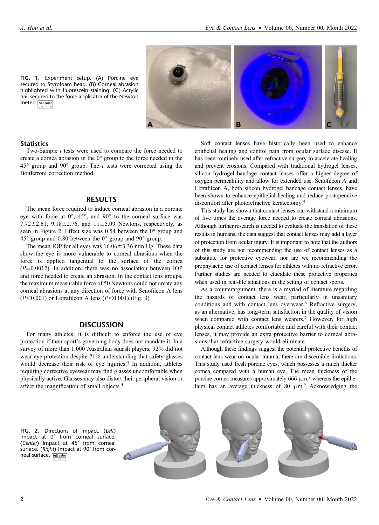

#### **Statistics**

meter. [full color

Two-Sample *t* tests were used to compare the force needed to create a cornea abrasion in the 0° group to the force needed in the  $45^{\circ}$  group and  $90^{\circ}$  group. The *t* tests were corrected using the Bonferroni correction method.

### RESULTS

The mean force required to induce corneal abrasion in a porcine eye with force at 0°, 45°, and 90° to the corneal surface was  $7.72 \pm 2.61$ ,  $9.18 \pm 2.76$ , and  $11 \pm 5.09$  Newtons, respectively, as seen in Figure 2. Effect size was 0.54 between the 0° group and  $45^{\circ}$  group and 0.80 between the 0 $^{\circ}$  group and 90 $^{\circ}$  group.

The mean IOP for all eyes was  $16.06 \pm 3.36$  mm Hg. These data show the eye is more vulnerable to corneal abrasions when the force is applied tangential to the surface of the cornea  $(P=0.0012)$ . In addition, there was no association between IOP and force needed to create an abrasion. In the contact lens groups, the maximum measurable force of 50 Newtons could not create any corneal abrasions at any direction of force with Senofilcon A lens  $(P<0.001)$  or Lotrafilcon A lens  $(P<0.001)$  (Fig. 3).

#### **DISCUSSION**

For many athletes, it is difficult to enforce the use of eye protection if their sport's governing body does not mandate it. In a survey of more than 1,000 Australian squash players, 92% did not wear eye protection despite 71% understanding that safety glasses would decrease their risk of eye injuries.<sup>4</sup> In addition, athletes requiring corrective eyewear may find glasses uncomfortable when physically active. Glasses may also distort their peripheral vision or affect the magnification of small objects.<sup>4</sup>

Soft contact lenses have historically been used to enhance epithelial healing and control pain from ocular surface disease. It has been routinely used after refractive surgery to accelerate healing and prevent erosions. Compared with traditional hydrogel lenses, silicon hydrogel bandage contact lenses offer a higher degree of oxygen permeability and allow for extended use. Senofilcon A and Lotrafilcon A, both silicon hydrogel bandage contact lenses, have been shown to enhance epithelial healing and reduce postoperative discomfort after photorefractive keratectomy.5

This study has shown that contact lenses can withstand a minimum of five times the average force needed to create corneal abrasions. Although further research is needed to evaluate the translation of these results in humans, the data suggest that contact lenses may add a layer of protection from ocular injury. It is important to note that the authors of this study are not recommending the use of contact lenses as a substitute for protective eyewear, nor are we recommending the prophylactic use of contact lenses for athletes with no refractive error. Further studies are needed to elucidate these protective properties when used in real-life situations in the setting of contact sports.

As a counterargument, there is a myriad of literature regarding the hazards of contact lens wear, particularly in unsanitary conditions and with contact lens overwear.<sup>6</sup> Refractive surgery, as an alternative, has long-term satisfaction in the quality of vision when compared with contact lens wearers.<sup>7</sup> However, for high physical contact athletes comfortable and careful with their contact lenses, it may provide an extra protective barrier to corneal abrasions that refractive surgery would eliminate.

Although these findings suggest the potential protective benefits of contact lens wear on ocular trauma, there are discernible limitations. This study used fresh porcine eyes, which possesses a much thicker cornea compared with a human eye. The mean thickness of the porcine cornea measures approximately 666  $\mu$ m,<sup>8</sup> whereas the epithelium has an average thickness of 80  $\mu$ m.<sup>9</sup> Acknowledging the

FIG. 2. Directions of impact. (Left) Impact at 0˚ from corneal surface. (Center) Impact at 45˚ from corneal surface. (Right) Impact at 90° from corneal surface. Full color